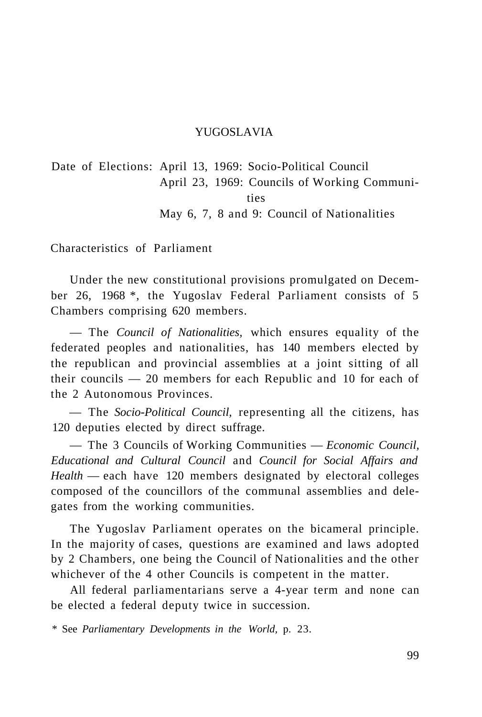#### YUGOSLAVIA

Date of Elections: April 13, 1969: Socio-Political Council April 23, 1969: Councils of Working Communities May 6, 7, 8 and 9: Council of Nationalities

Characteristics of Parliament

Under the new constitutional provisions promulgated on December 26, 1968 \*, the Yugoslav Federal Parliament consists of 5 Chambers comprising 620 members.

— The *Council of Nationalities,* which ensures equality of the federated peoples and nationalities, has 140 members elected by the republican and provincial assemblies at a joint sitting of all their councils — 20 members for each Republic and 10 for each of the 2 Autonomous Provinces.

— The *Socio-Political Council,* representing all the citizens, has 120 deputies elected by direct suffrage.

— The 3 Councils of Working Communities — *Economic Council, Educational and Cultural Council* and *Council for Social Affairs and Health* — each have 120 members designated by electoral colleges composed of the councillors of the communal assemblies and delegates from the working communities.

The Yugoslav Parliament operates on the bicameral principle. In the majority of cases, questions are examined and laws adopted by 2 Chambers, one being the Council of Nationalities and the other whichever of the 4 other Councils is competent in the matter.

All federal parliamentarians serve a 4-year term and none can be elected a federal deputy twice in succession.

\* See *Parliamentary Developments in the World,* p. 23.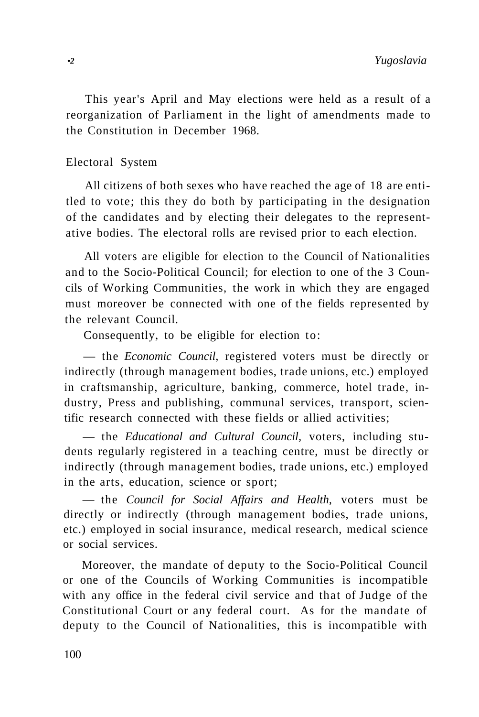This year's April and May elections were held as a result of a reorganization of Parliament in the light of amendments made to the Constitution in December 1968.

#### Electoral System

All citizens of both sexes who have reached the age of 18 are entitled to vote; this they do both by participating in the designation of the candidates and by electing their delegates to the representative bodies. The electoral rolls are revised prior to each election.

All voters are eligible for election to the Council of Nationalities and to the Socio-Political Council; for election to one of the 3 Councils of Working Communities, the work in which they are engaged must moreover be connected with one of the fields represented by the relevant Council.

Consequently, to be eligible for election to:

— the *Economic Council,* registered voters must be directly or indirectly (through management bodies, trade unions, etc.) employed in craftsmanship, agriculture, banking, commerce, hotel trade, industry, Press and publishing, communal services, transport, scientific research connected with these fields or allied activities;

— the *Educational and Cultural Council,* voters, including students regularly registered in a teaching centre, must be directly or indirectly (through management bodies, trade unions, etc.) employed in the arts, education, science or sport;

— the *Council for Social Affairs and Health,* voters must be directly or indirectly (through management bodies, trade unions, etc.) employed in social insurance, medical research, medical science or social services.

Moreover, the mandate of deputy to the Socio-Political Council or one of the Councils of Working Communities is incompatible with any office in the federal civil service and that of Judge of the Constitutional Court or any federal court. As for the mandate of deputy to the Council of Nationalities, this is incompatible with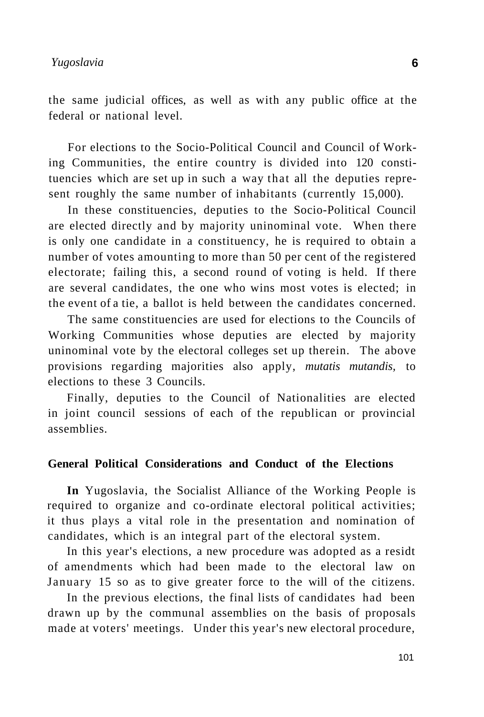the same judicial offices, as well as with any public office at the federal or national level.

For elections to the Socio-Political Council and Council of Working Communities, the entire country is divided into 120 constituencies which are set up in such a way that all the deputies represent roughly the same number of inhabitants (currently 15,000).

In these constituencies, deputies to the Socio-Political Council are elected directly and by majority uninominal vote. When there is only one candidate in a constituency, he is required to obtain a number of votes amounting to more than 50 per cent of the registered electorate; failing this, a second round of voting is held. If there are several candidates, the one who wins most votes is elected; in the event of a tie, a ballot is held between the candidates concerned.

The same constituencies are used for elections to the Councils of Working Communities whose deputies are elected by majority uninominal vote by the electoral colleges set up therein. The above provisions regarding majorities also apply, *mutatis mutandis,* to elections to these 3 Councils.

Finally, deputies to the Council of Nationalities are elected in joint council sessions of each of the republican or provincial assemblies.

## **General Political Considerations and Conduct of the Elections**

**In** Yugoslavia, the Socialist Alliance of the Working People is required to organize and co-ordinate electoral political activities; it thus plays a vital role in the presentation and nomination of candidates, which is an integral part of the electoral system.

In this year's elections, a new procedure was adopted as a residt of amendments which had been made to the electoral law on January 15 so as to give greater force to the will of the citizens.

In the previous elections, the final lists of candidates had been drawn up by the communal assemblies on the basis of proposals made at voters' meetings. Under this year's new electoral procedure,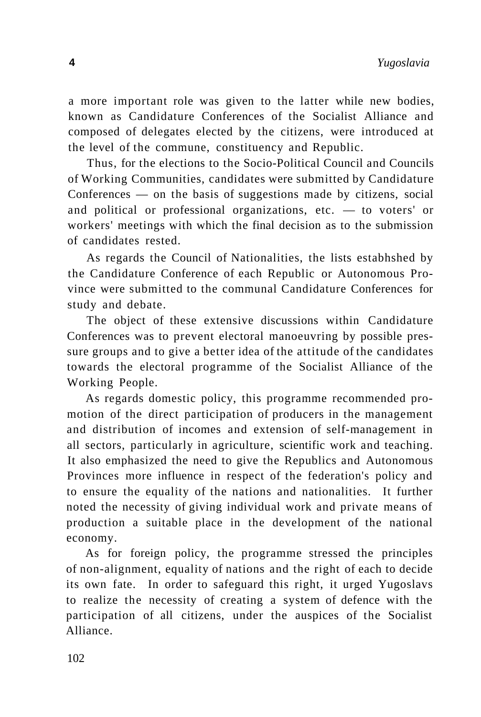a more important role was given to the latter while new bodies, known as Candidature Conferences of the Socialist Alliance and composed of delegates elected by the citizens, were introduced at the level of the commune, constituency and Republic.

Thus, for the elections to the Socio-Political Council and Councils of Working Communities, candidates were submitted by Candidature Conferences — on the basis of suggestions made by citizens, social and political or professional organizations, etc. — to voters' or workers' meetings with which the final decision as to the submission of candidates rested.

As regards the Council of Nationalities, the lists estabhshed by the Candidature Conference of each Republic or Autonomous Province were submitted to the communal Candidature Conferences for study and debate.

The object of these extensive discussions within Candidature Conferences was to prevent electoral manoeuvring by possible pressure groups and to give a better idea of the attitude of the candidates towards the electoral programme of the Socialist Alliance of the Working People.

As regards domestic policy, this programme recommended promotion of the direct participation of producers in the management and distribution of incomes and extension of self-management in all sectors, particularly in agriculture, scientific work and teaching. It also emphasized the need to give the Republics and Autonomous Provinces more influence in respect of the federation's policy and to ensure the equality of the nations and nationalities. It further noted the necessity of giving individual work and private means of production a suitable place in the development of the national economy.

As for foreign policy, the programme stressed the principles of non-alignment, equality of nations and the right of each to decide its own fate. In order to safeguard this right, it urged Yugoslavs to realize the necessity of creating a system of defence with the participation of all citizens, under the auspices of the Socialist Alliance.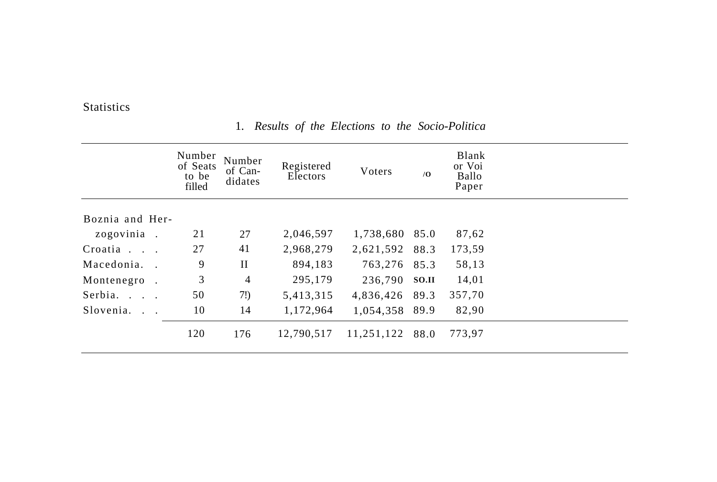**Statistics** 

#### Number of Seats to be filled Boznia and Herzogovinia . Croatia . . . Macedonia. . Montenegro . Serbia. . . . Slovenia. . . 21 27 9 3 50 10 120 Number of Candidates 27 41 II 4 7!) 14 176 Registered Electors 2,046,597 2,968,279 894,183 295,179 5,413,315 1,172,964 12,790,517 Voters 1,738,680 85.0 2,621,592 88.3 763,276 236,790 **SO.II**  4,836,426 1,054,358 89.9 11,251,122 88.0 **/O**  85.3 89.3 Blank or Voi Ballo Paper 87,62 173,59 58,13 14,01 357,70 82,90 773,97

## 1. *Results of the Elections to the Socio-Politica*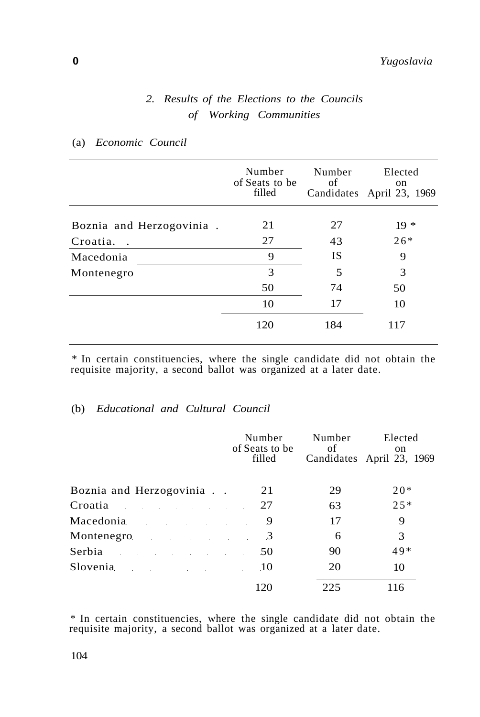## *2. Results of the Elections to the Councils of Working Communities*

|                           | Number<br>of Seats to be<br>filled | Number<br>of | Elected<br>on<br>Candidates April 23, 1969 |
|---------------------------|------------------------------------|--------------|--------------------------------------------|
| Boznia and Herzogovinia.  | 21                                 | 27           | $19*$                                      |
|                           |                                    |              |                                            |
| Croatia.<br>$\sim$ $\sim$ | 27                                 | 43           | $26*$                                      |
| Macedonia                 | 9                                  | IS           | 9                                          |
| Montenegro                | 3                                  | 5            | 3                                          |
|                           | 50                                 | 74           | 50                                         |
|                           | 10                                 | 17           | 10                                         |
|                           | 120                                | 184          | 117                                        |
|                           |                                    |              |                                            |

#### (a) *Economic Council*

\* In certain constituencies, where the single candidate did not obtain the requisite majority, a second ballot was organized at a later date.

## (b) *Educational and Cultural Council*

|                                                                                                                                                                                                                                | Number<br>of Seats to be<br>filled | Number<br>of | Elected<br>on<br>Candidates April 23, 1969 |
|--------------------------------------------------------------------------------------------------------------------------------------------------------------------------------------------------------------------------------|------------------------------------|--------------|--------------------------------------------|
| Boznia and Herzogovinia                                                                                                                                                                                                        | 21                                 | 29           | $20*$                                      |
| Croatia<br>the control of the control of the                                                                                                                                                                                   | 27                                 | 63           | $25*$                                      |
| Macedonia and a state of the state of the state of the state of the state of the state of the state of the state of the state of the state of the state of the state of the state of the state of the state of the state of th | 9                                  | 17           | 9                                          |
| Montenegro <b>Montenegro</b>                                                                                                                                                                                                   | 3                                  | 6            | 3                                          |
| Serbia<br>the control of the control of the control of                                                                                                                                                                         | 50                                 | 90           | $49*$                                      |
| Slovenia                                                                                                                                                                                                                       | .10                                | 20           | 10                                         |
|                                                                                                                                                                                                                                | 120                                | 225          | 116                                        |

\* In certain constituencies, where the single candidate did not obtain the requisite majority, a second ballot was organized at a later date.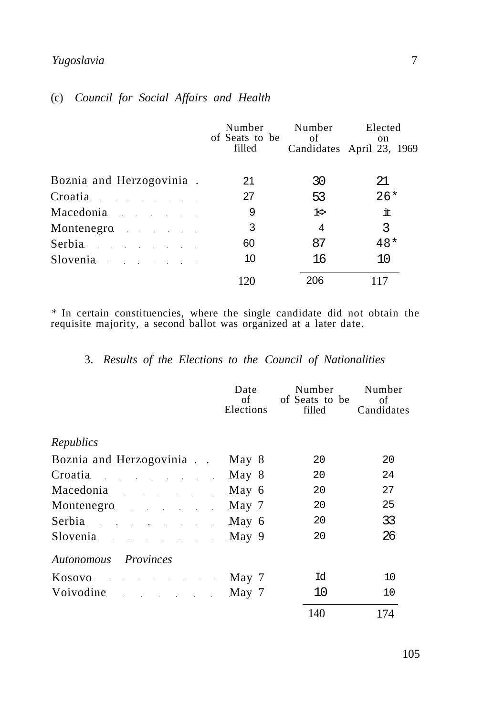## *Yugoslavia* 7

## (c) *Council for Social Affairs and Health*

|                                                                                                                                                                                                                                | Number<br>of Seats to be<br>filled | Number<br>of | Elected<br>on<br>Candidates April 23, 1969 |
|--------------------------------------------------------------------------------------------------------------------------------------------------------------------------------------------------------------------------------|------------------------------------|--------------|--------------------------------------------|
| Boznia and Herzogovinia.                                                                                                                                                                                                       | 21                                 | 30           | 21                                         |
| Croatia de la contradición de la contradición de la contradición de la contradición de la contradición de la c                                                                                                                 | 27                                 | 53           | $26*$                                      |
| Macedonia and the Macedonia                                                                                                                                                                                                    | 9                                  | $1\diamond$  | 圡                                          |
| Montenegro and the Montenegro and the Montenegro and the Montenegro and the Montenegro and the Montenegro and the Montenegro and the Montenegro and the Montenegro and the Montenegro and the Montenegro and the Montenegro an | 3                                  | 4            | 3                                          |
| Serbia and the serbial serbial serbial serbial serbial serbial serbial serbial serbial serbial serbial serbial                                                                                                                 | 60                                 | 87           | $48*$                                      |
| Slovenia                                                                                                                                                                                                                       | 10                                 | 16           | 10                                         |
|                                                                                                                                                                                                                                | 120                                | 206          |                                            |

\* In certain constituencies, where the single candidate did not obtain the requisite majority, a second ballot was organized at a later date.

## 3. *Results of the Elections to the Council of Nationalities*

|                                                                                                                                                                                                                                | Date<br>of<br>Elections | Number<br>of Seats to be<br>filled | Number<br>οf<br>Candidates |
|--------------------------------------------------------------------------------------------------------------------------------------------------------------------------------------------------------------------------------|-------------------------|------------------------------------|----------------------------|
| Republics                                                                                                                                                                                                                      |                         |                                    |                            |
|                                                                                                                                                                                                                                |                         |                                    |                            |
| Boznia and Herzogovinia                                                                                                                                                                                                        | May 8                   | 20                                 | 20                         |
| Croatia de la contradición de la contradición de la contradición de la contradición de la contradición de la c                                                                                                                 | May 8                   | 20                                 | 24                         |
| Macedonia and the Macedonia                                                                                                                                                                                                    | May 6                   | 20                                 | 27                         |
| Montenegro <b>Montenegro</b>                                                                                                                                                                                                   | May 7                   | 20                                 | 25                         |
| Serbia and a serbial contract of the serbial contract of the series of the series of the series of the series of the series of the series of the series of the series of the series of the series of the series of the series  | May 6                   | 20                                 | 33                         |
| Slovenia and a state of the state of the state of the state of the state of the state of the state of the state of the state of the state of the state of the state of the state of the state of the state of the state of the | May 9                   | 20                                 | 26                         |
| Autonomous Provinces                                                                                                                                                                                                           |                         |                                    |                            |
| Kosovo de la contra della contra della contra della contra della contra della contra della contra della contra                                                                                                                 | May 7                   | Id                                 | 10                         |
| Voivodine                                                                                                                                                                                                                      | May 7                   | 10                                 | 10                         |
|                                                                                                                                                                                                                                |                         | 140                                | 174                        |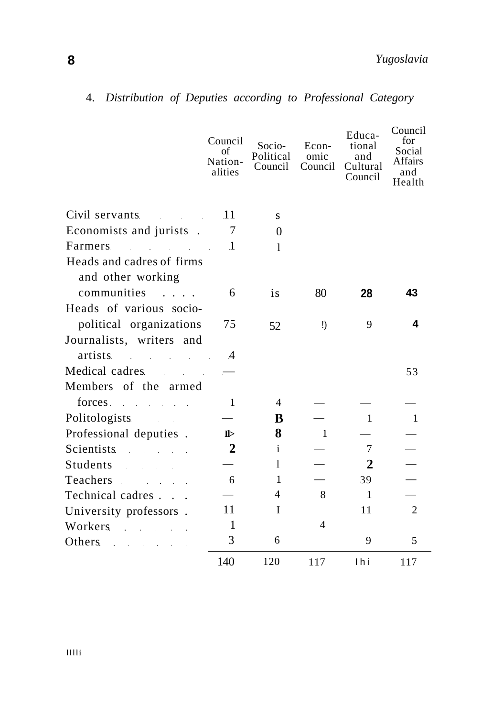**8** *Yugoslavia* 

|                                                                                                                                                                                                                                | Council<br>of<br>Nation-<br>alities | Socio-<br>Political<br>Council | Econ-<br>omic<br>Council | Educa-<br>tional<br>and<br>Cultural<br>Council | Council<br>for<br>Social<br>Affairs<br>and<br>Health |
|--------------------------------------------------------------------------------------------------------------------------------------------------------------------------------------------------------------------------------|-------------------------------------|--------------------------------|--------------------------|------------------------------------------------|------------------------------------------------------|
| Civil servants<br><b>Contract Contract</b>                                                                                                                                                                                     | .11                                 | S                              |                          |                                                |                                                      |
| Economists and jurists.                                                                                                                                                                                                        | 7                                   | $\Omega$                       |                          |                                                |                                                      |
| Farmers<br>and the state of the state of                                                                                                                                                                                       | $\cdot$ 1                           | $\mathbf{I}$                   |                          |                                                |                                                      |
| Heads and cadres of firms<br>and other working                                                                                                                                                                                 |                                     |                                |                          |                                                |                                                      |
| communities                                                                                                                                                                                                                    | 6                                   | is                             | 80                       | 28                                             | 43                                                   |
| Heads of various socio-<br>political organizations                                                                                                                                                                             | 75                                  | 52                             | $\mathbf{I}$             | 9                                              | 4                                                    |
| Journalists, writers and<br>artists<br>$\mathcal{L}^{\mathcal{L}}$ and $\mathcal{L}^{\mathcal{L}}$ are the set of the set of the set of $\mathcal{L}^{\mathcal{L}}$                                                            | $\overline{4}$                      |                                |                          |                                                |                                                      |
| Medical cadres<br><b>Contract Contract</b>                                                                                                                                                                                     | $\overline{\phantom{0}}$            |                                |                          |                                                | 53                                                   |
| Members of the armed                                                                                                                                                                                                           |                                     |                                |                          |                                                |                                                      |
| forces and the state of the state of the state of the state of the state of the state of the state of the state of the state of the state of the state of the state of the state of the state of the state of the state of the | 1                                   | $\overline{4}$                 |                          |                                                |                                                      |
| Politologists                                                                                                                                                                                                                  |                                     | B                              |                          | 1                                              | 1                                                    |
| Professional deputies.                                                                                                                                                                                                         | $\mathbb{D}$                        | 8                              | $\overline{1}$           |                                                |                                                      |
| Scientists<br>a provincia de la                                                                                                                                                                                                | 2                                   | i.                             |                          | 7                                              |                                                      |
| <b>Students</b><br>and the company of the com-                                                                                                                                                                                 |                                     | 1                              |                          | 2                                              |                                                      |
| Teachers and the season of the season of the season of the season of the season of the season of the season of                                                                                                                 | 6                                   | $\mathbf{1}$                   |                          | 39                                             |                                                      |
| Technical cadres.<br><b>Contract</b>                                                                                                                                                                                           |                                     | 4                              | 8                        | $\mathbf{1}$                                   |                                                      |
| University professors.                                                                                                                                                                                                         | 11                                  | I                              |                          | 11                                             | $\overline{c}$                                       |
| Workers<br>and the company of the com-                                                                                                                                                                                         | 1                                   |                                | 4                        |                                                |                                                      |
| Others<br>$\mathcal{L}(\mathcal{L}^{\mathcal{L}})$ and $\mathcal{L}^{\mathcal{L}}$ are the set of the set of the set of $\mathcal{L}^{\mathcal{L}}$                                                                            | 3                                   | 6                              |                          | 9                                              | 5                                                    |
|                                                                                                                                                                                                                                | 140                                 | 120                            | 117                      | 1 <sub>hi</sub>                                | 117                                                  |

# 4. *Distribution of Deputies according to Professional Category*